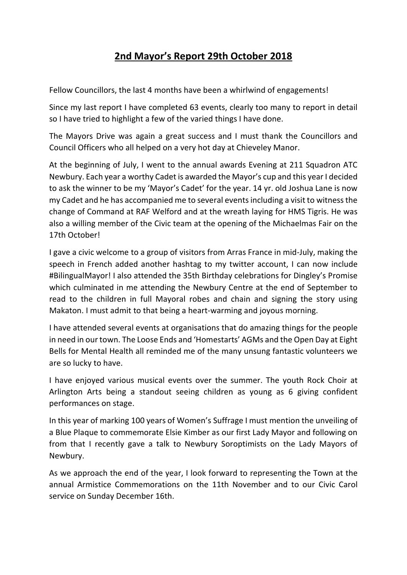## **2nd Mayor's Report 29th October 2018**

Fellow Councillors, the last 4 months have been a whirlwind of engagements!

Since my last report I have completed 63 events, clearly too many to report in detail so I have tried to highlight a few of the varied things I have done.

The Mayors Drive was again a great success and I must thank the Councillors and Council Officers who all helped on a very hot day at Chieveley Manor.

At the beginning of July, I went to the annual awards Evening at 211 Squadron ATC Newbury. Each year a worthy Cadet is awarded the Mayor's cup and this year I decided to ask the winner to be my 'Mayor's Cadet' for the year. 14 yr. old Joshua Lane is now my Cadet and he has accompanied me to several events including a visit to witness the change of Command at RAF Welford and at the wreath laying for HMS Tigris. He was also a willing member of the Civic team at the opening of the Michaelmas Fair on the 17th October!

I gave a civic welcome to a group of visitors from Arras France in mid-July, making the speech in French added another hashtag to my twitter account, I can now include #BilingualMayor! I also attended the 35th Birthday celebrations for Dingley's Promise which culminated in me attending the Newbury Centre at the end of September to read to the children in full Mayoral robes and chain and signing the story using Makaton. I must admit to that being a heart-warming and joyous morning.

I have attended several events at organisations that do amazing things for the people in need in our town. The Loose Ends and 'Homestarts' AGMs and the Open Day at Eight Bells for Mental Health all reminded me of the many unsung fantastic volunteers we are so lucky to have.

I have enjoyed various musical events over the summer. The youth Rock Choir at Arlington Arts being a standout seeing children as young as 6 giving confident performances on stage.

In this year of marking 100 years of Women's Suffrage I must mention the unveiling of a Blue Plaque to commemorate Elsie Kimber as our first Lady Mayor and following on from that I recently gave a talk to Newbury Soroptimists on the Lady Mayors of Newbury.

As we approach the end of the year, I look forward to representing the Town at the annual Armistice Commemorations on the 11th November and to our Civic Carol service on Sunday December 16th.